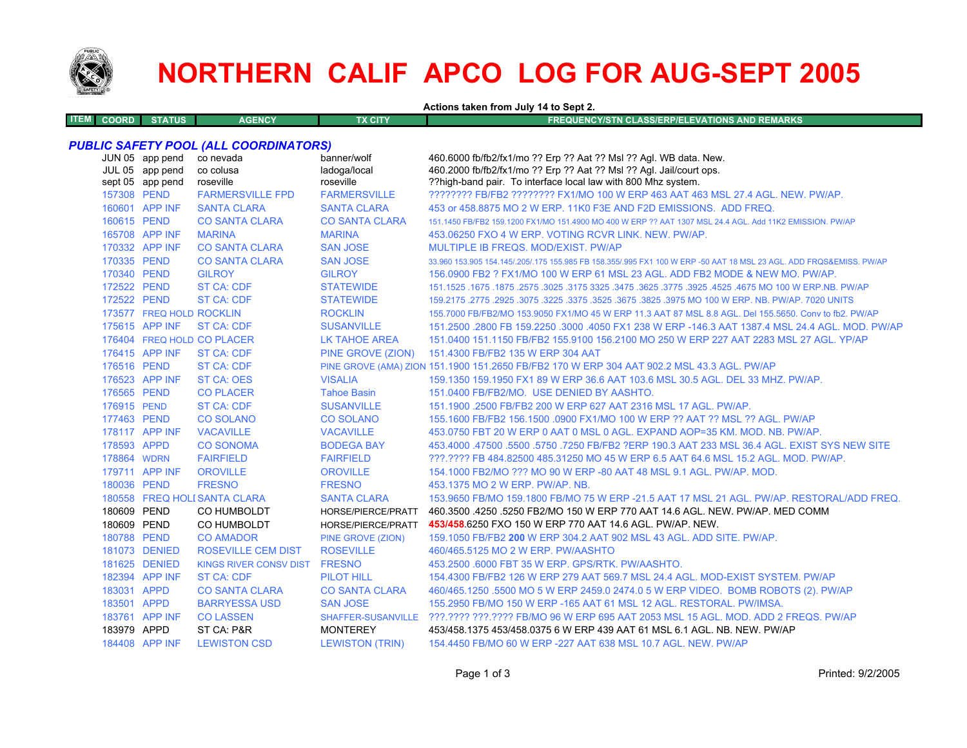

# **NORTHERN CALIF APCO LOG FOR AUG-SEPT 2005**

**Actions taken from July 14 to Sept 2.**

| <b>ITEM</b><br>rus'<br><b>COORD</b><br>STAT | <b>AGENCY</b> | TX CITY | EQUENCY/STN CLASS/ERP/ELEVATIONS AND REMARKS |
|---------------------------------------------|---------------|---------|----------------------------------------------|
|                                             |               |         |                                              |

## *PUBLIC SAFETY POOL (ALL COORDINATORS)*

|             | JUN 05 app pend<br>JUL 05 app pend<br>sept 05 app pend | co nevada<br>co colusa<br>roseville | banner/wolf<br>ladoga/local<br>roseville | 460.6000 fb/fb2/fx1/mo ?? Erp ?? Aat ?? Msl ?? Agl. WB data. New.<br>460.2000 fb/fb2/fx1/mo ?? Erp ?? Aat ?? Msl ?? Agl. Jail/court ops.<br>??high-band pair. To interface local law with 800 Mhz system. |
|-------------|--------------------------------------------------------|-------------------------------------|------------------------------------------|-----------------------------------------------------------------------------------------------------------------------------------------------------------------------------------------------------------|
| 157308 PEND |                                                        | <b>FARMERSVILLE FPD</b>             | <b>FARMERSVILLE</b>                      | ???????? FB/FB2 ???????? FX1/MO 100 W ERP 463 AAT 463 MSL 27.4 AGL, NEW, PW/AP,                                                                                                                           |
|             | 160601 APP INF                                         | <b>SANTA CLARA</b>                  | <b>SANTA CLARA</b>                       | 453 or 458,8875 MO 2 W ERP, 11K0 F3E AND F2D EMISSIONS. ADD FREQ.                                                                                                                                         |
| 160615 PEND |                                                        | <b>CO SANTA CLARA</b>               | <b>CO SANTA CLARA</b>                    | 151.1450 FB/FB2 159.1200 FX1/MO 151.4900 MO 400 W ERP ?? AAT 1307 MSL 24.4 AGL. Add 11K2 EMISSION. PW/AP                                                                                                  |
|             | 165708 APP INF                                         | <b>MARINA</b>                       | <b>MARINA</b>                            | 453.06250 FXO 4 W ERP. VOTING RCVR LINK, NEW, PW/AP.                                                                                                                                                      |
|             | 170332 APP INF                                         | <b>CO SANTA CLARA</b>               | <b>SAN JOSE</b>                          | MULTIPLE IB FREQS, MOD/EXIST, PW/AP                                                                                                                                                                       |
| 170335 PEND |                                                        | <b>CO SANTA CLARA</b>               | <b>SAN JOSE</b>                          | 33,960 153,905 154,145/.205/.175 155,985 FB 158,355/.995 FX1 100 W ERP -50 AAT 18 MSL 23 AGL, ADD FRQS&EMISS, PW/AP                                                                                       |
| 170340 PEND |                                                        | <b>GILROY</b>                       | <b>GILROY</b>                            | 156,0900 FB2 ? FX1/MO 100 W ERP 61 MSL 23 AGL, ADD FB2 MODE & NEW MO, PW/AP,                                                                                                                              |
| 172522 PEND |                                                        | <b>ST CA: CDF</b>                   | <b>STATEWIDE</b>                         | 151.1525 .1675 .1875 .2575 .3025 .3175 3325 .3475 .3625 .3775 .3625 .3775 .3925 .1675 MO 100 W ERP.NB. PW/AP                                                                                              |
| 172522 PEND |                                                        | <b>ST CA: CDF</b>                   | <b>STATEWIDE</b>                         | 159,2175,2775,2925,3075,3225,3375,3525,3675,3825,3975 MO 100 W ERP, NB, PW/AP, 7020 UNITS                                                                                                                 |
|             | 173577 FREQ HOLD ROCKLIN                               |                                     | <b>ROCKLIN</b>                           | 155.7000 FB/FB2/MO 153.9050 FX1/MO 45 W ERP 11.3 AAT 87 MSL 8.8 AGL. Del 155.5650. Conv to fb2. PW/AP                                                                                                     |
|             | 175615 APP INF                                         | <b>ST CA: CDF</b>                   | <b>SUSANVILLE</b>                        | 151.2500 .2800 FB 159.2250 .3000 .4050 FX1 238 W ERP -146.3 AAT 1387.4 MSL 24.4 AGL, MOD, PW/AP                                                                                                           |
|             |                                                        | 176404 FREQ HOLD CO PLACER          | <b>LK TAHOE AREA</b>                     | 151.0400 151.1150 FB/FB2 155.9100 156.2100 MO 250 W ERP 227 AAT 2283 MSL 27 AGL. YP/AP                                                                                                                    |
|             | 176415 APP INF                                         | <b>ST CA: CDF</b>                   | PINE GROVE (ZION)                        | 151.4300 FB/FB2 135 W ERP 304 AAT                                                                                                                                                                         |
| 176516 PEND |                                                        | <b>ST CA: CDF</b>                   |                                          | PINE GROVE (AMA) ZION 151.1900 151.2650 FB/FB2 170 W ERP 304 AAT 902.2 MSL 43.3 AGL. PW/AP                                                                                                                |
|             | 176523 APP INF                                         | <b>ST CA: OES</b>                   | <b>VISALIA</b>                           | 159.1350 159.1950 FX1 89 W ERP 36.6 AAT 103.6 MSL 30.5 AGL. DEL 33 MHZ. PW/AP.                                                                                                                            |
| 176565 PEND |                                                        | <b>CO PLACER</b>                    | <b>Tahoe Basin</b>                       | 151.0400 FB/FB2/MO. USE DENIED BY AASHTO.                                                                                                                                                                 |
| 176915 PEND |                                                        | <b>ST CA: CDF</b>                   | <b>SUSANVILLE</b>                        | 151.1900 .2500 FB/FB2 200 W ERP 627 AAT 2316 MSL 17 AGL, PW/AP.                                                                                                                                           |
| 177463 PEND |                                                        | <b>CO SOLANO</b>                    | <b>CO SOLANO</b>                         | 155.1600 FB/FB2 156.1500 .0900 FX1/MO 100 W ERP ?? AAT ?? MSL ?? AGL. PW/AP                                                                                                                               |
|             | 178117 APP INF                                         | <b>VACAVILLE</b>                    | <b>VACAVILLE</b>                         | 453.0750 FBT 20 W ERP 0 AAT 0 MSL 0 AGL. EXPAND AOP=35 KM, MOD, NB, PW/AP,                                                                                                                                |
| 178593 APPD |                                                        | <b>CO SONOMA</b>                    | <b>BODEGA BAY</b>                        | 453,4000 .47500 .5500 .5750 .7250 FB/FB2 ?ERP 190.3 AAT 233 MSL 36.4 AGL. EXIST SYS NEW SITE                                                                                                              |
| 178864 WDRN |                                                        | <b>FAIRFIELD</b>                    | <b>FAIRFIELD</b>                         | ???.???? FB 484.82500 485.31250 MO 45 W ERP 6.5 AAT 64.6 MSL 15.2 AGL. MOD. PW/AP.                                                                                                                        |
|             | 179711 APP INF                                         | <b>OROVILLE</b>                     | <b>OROVILLE</b>                          | 154,1000 FB2/MO ??? MO 90 W ERP -80 AAT 48 MSL 9.1 AGL, PW/AP, MOD.                                                                                                                                       |
| 180036 PEND |                                                        | <b>FRESNO</b>                       | <b>FRESNO</b>                            | 453.1375 MO 2 W ERP. PW/AP. NB.                                                                                                                                                                           |
|             |                                                        | 180558 FREQ HOLI SANTA CLARA        | <b>SANTA CLARA</b>                       | 153,9650 FB/MO 159,1800 FB/MO 75 W ERP -21.5 AAT 17 MSL 21 AGL, PW/AP, RESTORAL/ADD FREQ.                                                                                                                 |
| 180609 PEND |                                                        | CO HUMBOLDT                         | HORSE/PIERCE/PRATT                       | 460.3500 .4250 .5250 FB2/MO 150 W ERP 770 AAT 14.6 AGL. NEW. PW/AP. MED COMM                                                                                                                              |
| 180609 PEND |                                                        | CO HUMBOLDT                         | HORSE/PIERCE/PRATT                       | 453/458.6250 FXO 150 W ERP 770 AAT 14.6 AGL, PW/AP, NEW.                                                                                                                                                  |
| 180788 PEND |                                                        | <b>CO AMADOR</b>                    | PINE GROVE (ZION)                        | 159.1050 FB/FB2 200 W ERP 304.2 AAT 902 MSL 43 AGL. ADD SITE, PW/AP.                                                                                                                                      |
|             | 181073 DENIED                                          | <b>ROSEVILLE CEM DIST</b>           | <b>ROSEVILLE</b>                         | 460/465.5125 MO 2 W ERP. PW/AASHTO                                                                                                                                                                        |
|             | 181625 DENIED                                          | KINGS RIVER CONSV DIST FRESNO       |                                          | 453.2500 .6000 FBT 35 W ERP. GPS/RTK. PW/AASHTO.                                                                                                                                                          |
|             | 182394 APP INF                                         | <b>ST CA: CDF</b>                   | <b>PILOT HILL</b>                        | 154,4300 FB/FB2 126 W ERP 279 AAT 569.7 MSL 24.4 AGL, MOD-EXIST SYSTEM, PW/AP                                                                                                                             |
| 183031 APPD |                                                        | <b>CO SANTA CLARA</b>               | <b>CO SANTA CLARA</b>                    | 460/465.1250 .5500 MO 5 W ERP 2459.0 2474.0 5 W ERP VIDEO. BOMB ROBOTS (2). PW/AP                                                                                                                         |
| 183501 APPD |                                                        | <b>BARRYESSA USD</b>                | <b>SAN JOSE</b>                          | 155,2950 FB/MO 150 W ERP -165 AAT 61 MSL 12 AGL, RESTORAL, PW/IMSA.                                                                                                                                       |
|             | 183761 APP INF                                         | <b>CO LASSEN</b>                    |                                          | SHAFFER-SUSANVILLE ???.???? ???.???? FB/MO 96 W ERP 695 AAT 2053 MSL 15 AGL, MOD, ADD 2 FREQS, PW/AP                                                                                                      |
| 183979 APPD |                                                        | ST CA: P&R                          | <b>MONTEREY</b>                          | 453/458.1375 453/458.0375 6 W ERP 439 AAT 61 MSL 6.1 AGL, NB, NEW, PW/AP                                                                                                                                  |
|             | 184408 APP INF                                         | <b>LEWISTON CSD</b>                 | <b>LEWISTON (TRIN)</b>                   | 154,4450 FB/MO 60 W ERP - 227 AAT 638 MSL 10.7 AGL, NEW, PW/AP                                                                                                                                            |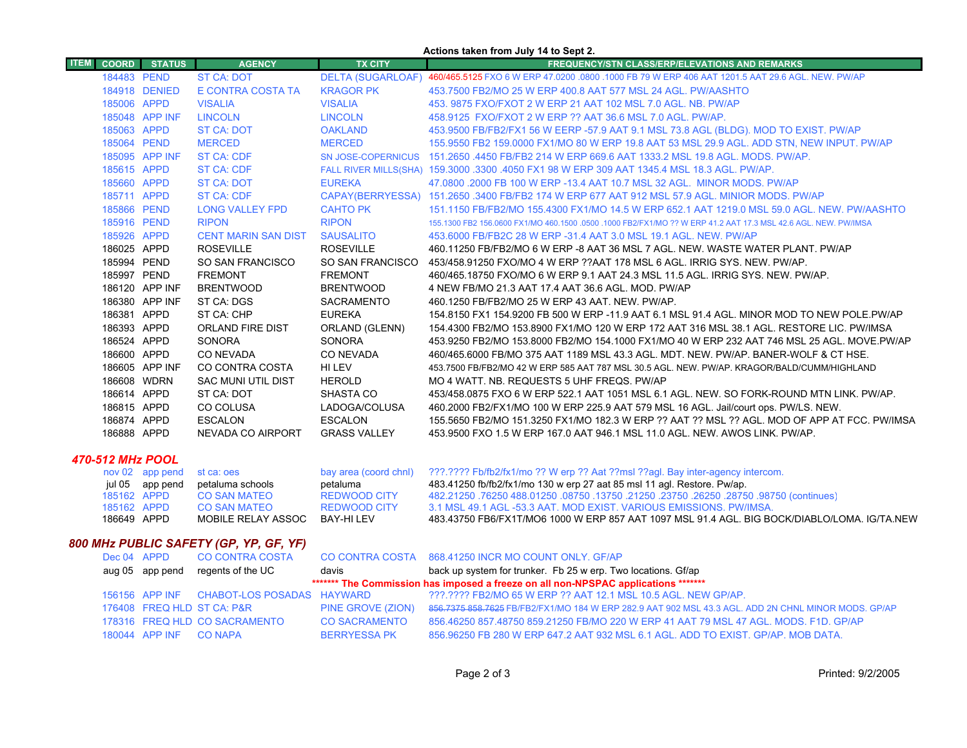|                             |                 |                                |                                   | Actions taken from July 14 to Sept 2.                                                                                                                     |  |
|-----------------------------|-----------------|--------------------------------|-----------------------------------|-----------------------------------------------------------------------------------------------------------------------------------------------------------|--|
| <b>ITEM</b><br><b>COORD</b> | <b>STATUS</b>   | <b>AGENCY</b>                  | <b>TX CITY</b>                    | <b>FREQUENCY/STN CLASS/ERP/ELEVATIONS AND REMARKS</b>                                                                                                     |  |
| 184483 PEND                 |                 | <b>ST CA: DOT</b>              |                                   | DELTA (SUGARLOAF) 460/465.5125 FXO 6 W ERP 47.0200 .0800 .1000 FB 79 W ERP 406 AAT 1201.5 AAT 29.6 AGL. NEW. PW/AP                                        |  |
|                             | 184918 DENIED   | E CONTRA COSTA TA              | <b>KRAGOR PK</b>                  | 453.7500 FB2/MO 25 W ERP 400.8 AAT 577 MSL 24 AGL, PW/AASHTO                                                                                              |  |
| 185006 APPD                 |                 | <b>VISALIA</b>                 | <b>VISALIA</b>                    | 453. 9875 FXO/FXOT 2 W ERP 21 AAT 102 MSL 7.0 AGL. NB. PW/AP                                                                                              |  |
|                             | 185048 APP INF  | <b>LINCOLN</b>                 | <b>LINCOLN</b>                    | 458.9125 FXO/FXOT 2 W ERP ?? AAT 36.6 MSL 7.0 AGL. PW/AP.                                                                                                 |  |
| 185063 APPD                 |                 | ST CA: DOT                     | <b>OAKLAND</b>                    | 453.9500 FB/FB2/FX1 56 W EERP -57.9 AAT 9.1 MSL 73.8 AGL (BLDG). MOD TO EXIST. PW/AP                                                                      |  |
| 185064 PEND                 |                 | <b>MERCED</b>                  | <b>MERCED</b>                     | 155.9550 FB2 159.0000 FX1/MO 80 W ERP 19.8 AAT 53 MSL 29.9 AGL. ADD STN, NEW INPUT. PW/AP                                                                 |  |
|                             | 185095 APP INF  | <b>ST CA: CDF</b>              | <b>SN JOSE-COPERNICUS</b>         | 151.2650 .4450 FB/FB2 214 W ERP 669.6 AAT 1333.2 MSL 19.8 AGL. MODS, PW/AP.                                                                               |  |
| 185615 APPD                 |                 | ST CA: CDF                     |                                   | FALL RIVER MILLS(SHA) 159.3000 .3300 .4050 FX1 98 W ERP 309 AAT 1345.4 MSL 18.3 AGL. PW/AP.                                                               |  |
| 185660 APPD                 |                 | <b>ST CA: DOT</b>              | <b>EUREKA</b>                     | 47,0800,2000 FB 100 W ERP -13.4 AAT 10.7 MSL 32 AGL. MINOR MODS, PW/AP                                                                                    |  |
| 185711 APPD                 |                 | <b>ST CA: CDF</b>              |                                   | CAPAY(BERRYESSA) 151.2650 .3400 FB/FB2 174 W ERP 677 AAT 912 MSL 57.9 AGL. MINIOR MODS. PW/AP                                                             |  |
| 185866 PEND                 |                 | <b>LONG VALLEY FPD</b>         | <b>CAHTO PK</b>                   | 151.1150 FB/FB2/MO 155.4300 FX1/MO 14.5 W ERP 652.1 AAT 1219.0 MSL 59.0 AGL. NEW. PW/AASHTO                                                               |  |
| 185916 PEND                 |                 | <b>RIPON</b>                   | <b>RIPON</b>                      | 155,1300 FB2 156,0600 FX1/MO 460,1500 ,0500 ,1000 FB2/FX1/MO ?? W ERP 41.2 AAT 17.3 MSL 42.6 AGL, NEW, PW/IMSA                                            |  |
| 185926 APPD                 |                 | <b>CENT MARIN SAN DIST</b>     | <b>SAUSALITO</b>                  | 453,6000 FB/FB2C 28 W ERP -31.4 AAT 3.0 MSL 19.1 AGL, NEW, PW/AP                                                                                          |  |
| 186025 APPD                 |                 | <b>ROSEVILLE</b>               | <b>ROSEVILLE</b>                  | 460.11250 FB/FB2/MO 6 W ERP -8 AAT 36 MSL 7 AGL. NEW. WASTE WATER PLANT. PW/AP                                                                            |  |
| 185994 PEND                 |                 | SO SAN FRANCISCO               | SO SAN FRANCISCO                  | 453/458.91250 FXO/MO 4 W ERP ??AAT 178 MSL 6 AGL. IRRIG SYS. NEW. PW/AP.                                                                                  |  |
| 185997 PEND                 |                 | <b>FREMONT</b>                 | <b>FREMONT</b>                    | 460/465.18750 FXO/MO 6 W ERP 9.1 AAT 24.3 MSL 11.5 AGL. IRRIG SYS. NEW. PW/AP.                                                                            |  |
|                             | 186120 APP INF  | <b>BRENTWOOD</b>               | <b>BRENTWOOD</b>                  | 4 NEW FB/MO 21.3 AAT 17.4 AAT 36.6 AGL, MOD, PW/AP                                                                                                        |  |
|                             | 186380 APP INF  | ST CA: DGS                     | <b>SACRAMENTO</b>                 | 460.1250 FB/FB2/MO 25 W ERP 43 AAT, NEW, PW/AP,                                                                                                           |  |
| 186381 APPD                 |                 | ST CA: CHP                     | <b>EUREKA</b>                     | 154.8150 FX1 154.9200 FB 500 W ERP -11.9 AAT 6.1 MSL 91.4 AGL. MINOR MOD TO NEW POLE PW/AP                                                                |  |
| 186393 APPD                 |                 | <b>ORLAND FIRE DIST</b>        | ORLAND (GLENN)                    | 154.4300 FB2/MO 153.8900 FX1/MO 120 W ERP 172 AAT 316 MSL 38.1 AGL, RESTORE LIC, PW/IMSA                                                                  |  |
| 186524 APPD                 |                 | <b>SONORA</b>                  | <b>SONORA</b>                     | 453.9250 FB2/MO 153.8000 FB2/MO 154.1000 FX1/MO 40 W ERP 232 AAT 746 MSL 25 AGL. MOVE PW/AP                                                               |  |
| 186600 APPD                 |                 | CO NEVADA                      | <b>CO NEVADA</b>                  | 460/465.6000 FB/MO 375 AAT 1189 MSL 43.3 AGL, MDT, NEW, PW/AP, BANER-WOLF & CT HSE.                                                                       |  |
|                             | 186605 APP INF  | CO CONTRA COSTA                | HI LEV                            | 453.7500 FB/FB2/MO 42 W ERP 585 AAT 787 MSL 30.5 AGL. NEW. PW/AP. KRAGOR/BALD/CUMM/HIGHLAND                                                               |  |
| 186608 WDRN                 |                 | <b>SAC MUNI UTIL DIST</b>      | <b>HEROLD</b>                     | MO 4 WATT. NB. REQUESTS 5 UHF FREQS. PW/AP                                                                                                                |  |
| 186614 APPD                 |                 | ST CA: DOT                     | SHASTA CO                         | 453/458.0875 FXO 6 W ERP 522.1 AAT 1051 MSL 6.1 AGL. NEW. SO FORK-ROUND MTN LINK. PW/AP.                                                                  |  |
| 186815 APPD                 |                 | CO COLUSA                      | LADOGA/COLUSA                     | 460.2000 FB2/FX1/MO 100 W ERP 225.9 AAT 579 MSL 16 AGL. Jail/court ops. PW/LS. NEW.                                                                       |  |
| 186874 APPD                 |                 | <b>ESCALON</b>                 | <b>ESCALON</b>                    | 155.5650 FB2/MO 151.3250 FX1/MO 182.3 W ERP ?? AAT ?? MSL ?? AGL. MOD OF APP AT FCC. PW/IMSA                                                              |  |
| 186888 APPD                 |                 | NEVADA CO AIRPORT              | <b>GRASS VALLEY</b>               | 453,9500 FXO 1.5 W ERP 167.0 AAT 946.1 MSL 11.0 AGL. NEW. AWOS LINK. PW/AP.                                                                               |  |
|                             |                 |                                |                                   |                                                                                                                                                           |  |
| 470-512 MHz POOL            |                 |                                |                                   |                                                                                                                                                           |  |
|                             | nov 02 app pend | st ca: oes<br>petaluma schools | bay area (coord chnl)<br>petaluma | ???.???? Fb/fb2/fx1/mo ?? W erp ?? Aat ??msl ??aql. Bay inter-agency intercom.<br>483.41250 fb/fb2/fx1/mo 130 w erp 27 aat 85 msl 11 agl. Restore. Pw/ap. |  |
| 185162 APPD                 | jul 05 app pend | <b>CO SAN MATEO</b>            | <b>REDWOOD CITY</b>               | (continues) 08750, 08750, 08750, 08750, 021250, 13750, 08750, 08750, 76250, 08750, 08750                                                                  |  |
| 185162 APPD                 |                 | <b>CO SAN MATEO</b>            | <b>REDWOOD CITY</b>               | 3.1 MSL 49.1 AGL -53.3 AAT, MOD EXIST, VARIOUS EMISSIONS, PW/IMSA.                                                                                        |  |
| 186649 APPD                 |                 | MOBILE RELAY ASSOC             | <b>BAY-HILEV</b>                  | 483.43750 FB6/FX1T/MO6 1000 W ERP 857 AAT 1097 MSL 91.4 AGL. BIG BOCK/DIABLO/LOMA. IG/TA.NEW                                                              |  |
|                             |                 |                                |                                   |                                                                                                                                                           |  |

# *800 MHz PUBLIC SAFETY (GP, YP, GF, YF)*

|                                                                                    | Dec 04 APPD            | <b>CO CONTRA COSTA</b>                    |                      | CO CONTRA COSTA 868.41250 INCR MO COUNT ONLY. GF/AP                                                 |  |
|------------------------------------------------------------------------------------|------------------------|-------------------------------------------|----------------------|-----------------------------------------------------------------------------------------------------|--|
|                                                                                    |                        | aug 05 app pend regents of the UC         | davis                | back up system for trunker. Fb 25 w erp. Two locations. Gf/ap                                       |  |
| ******* The Commission has imposed a freeze on all non-NPSPAC applications ******* |                        |                                           |                      |                                                                                                     |  |
|                                                                                    |                        | 156156 APP INF CHABOT-LOS POSADAS HAYWARD |                      | ???.???? FB2/MO 65 W ERP ?? AAT 12.1 MSL 10.5 AGL. NEW GP/AP.                                       |  |
|                                                                                    |                        | 176408 FREQ HLD ST CA: P&R                | PINE GROVE (ZION)    | 856.7375 858.7625 FB/FB2/FX1/MO 184 W ERP 282.9 AAT 902 MSL 43.3 AGL. ADD 2N CHNL MINOR MODS. GP/AP |  |
|                                                                                    |                        | 178316 FREQ HLD CO SACRAMENTO             | <b>CO SACRAMENTO</b> | 856.46250 857.48750 859.21250 FB/MO 220 W ERP 41 AAT 79 MSL 47 AGL. MODS. F1D. GP/AP                |  |
|                                                                                    | 180044 APP INF CO NAPA |                                           | <b>BERRYESSA PK</b>  | 856,96250 FB 280 W ERP 647.2 AAT 932 MSL 6.1 AGL, ADD TO EXIST, GP/AP, MOB DATA,                    |  |